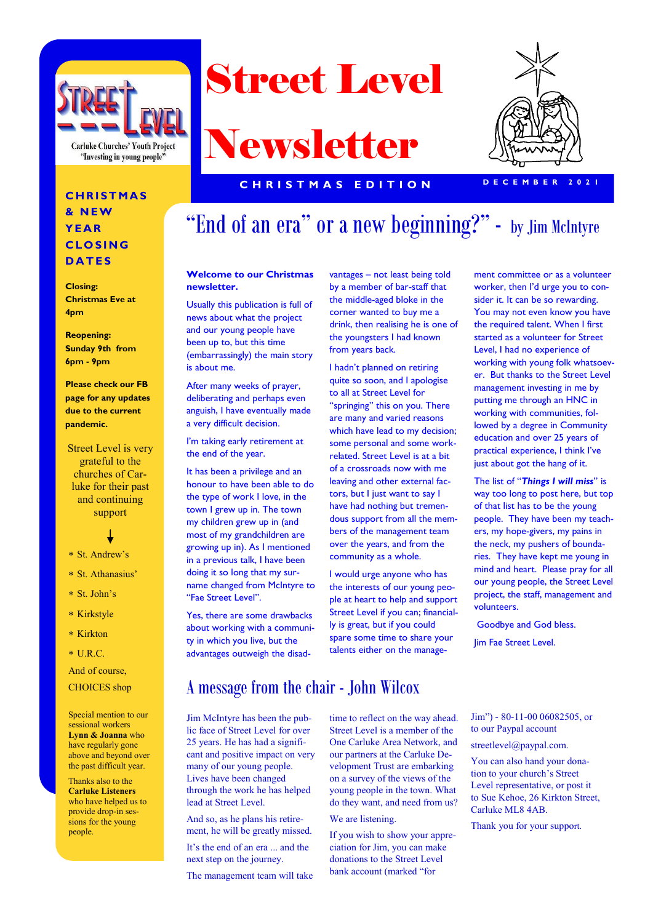

Street Level

# Newsletter



ment committee or as a volunteer worker, then I'd urge you to consider it. It can be so rewarding. You may not even know you have the required talent. When I first started as a volunteer for Street Level, I had no experience of working with young folk whatsoever. But thanks to the Street Level management investing in me by putting me through an HNC in working with communities, followed by a degree in Community education and over 25 years of practical experience, I think I've just about got the hang of it. The list of "*Things I will miss*" is

#### **C H R I S T M A S & N E W Y E A R C L O S I N G D A T E S**

**Closing: Christmas Eve at 4pm**

**Reopening: Sunday 9th from 6pm - 9pm** 

**Please check our FB page for any updates due to the current pandemic.** 

Street Level is very grateful to the churches of Carluke for their past and continuing support



- St. Andrew's
- St. Athanasius'
- St. John's
- \* Kirkstyle
- \* Kirkton
- $*$  U.R.C.

And of course, CHOICES shop

Special mention to our sessional workers **Lynn & Joanna** who have regularly gone above and beyond over the past difficult year.

Thanks also to the **Carluke Listeners**  who have helped us to provide drop-in sessions for the young people.

## "End of an era" or a new beginning?" - by Jim McIntyre

#### **Welcome to our Christmas newsletter.**

Usually this publication is full of news about what the project and our young people have been up to, but this time (embarrassingly) the main story is about me.

After many weeks of prayer, deliberating and perhaps even anguish, I have eventually made a very difficult decision.

I'm taking early retirement at the end of the year.

It has been a privilege and an honour to have been able to do the type of work I love, in the town I grew up in. The town my children grew up in (and most of my grandchildren are growing up in). As I mentioned in a previous talk, I have been doing it so long that my surname changed from McIntyre to "Fae Street Level".

Yes, there are some drawbacks about working with a community in which you live, but the advantages outweigh the disad-

vantages – not least being told by a member of bar-staff that the middle-aged bloke in the corner wanted to buy me a drink, then realising he is one of the youngsters I had known from years back.

I hadn't planned on retiring quite so soon, and I apologise to all at Street Level for "springing" this on you. There are many and varied reasons which have lead to my decision; some personal and some workrelated. Street Level is at a bit of a crossroads now with me leaving and other external factors, but I just want to say I have had nothing but tremendous support from all the members of the management team over the years, and from the community as a whole.

I would urge anyone who has the interests of our young people at heart to help and support Street Level if you can; financially is great, but if you could spare some time to share your talents either on the manage-

way too long to post here, but top of that list has to be the young people. They have been my teachers, my hope-givers, my pains in the neck, my pushers of boundaries. They have kept me young in

mind and heart. Please pray for all our young people, the Street Level project, the staff, management and volunteers. Goodbye and God bless.

Jim Fae Street Level.

### A message from the chair - John Wilcox

Jim McIntyre has been the public face of Street Level for over 25 years. He has had a significant and positive impact on very many of our young people. Lives have been changed through the work he has helped lead at Street Level.

And so, as he plans his retirement, he will be greatly missed.

It's the end of an era ... and the next step on the journey.

The management team will take

time to reflect on the way ahead. Street Level is a member of the One Carluke Area Network, and our partners at the Carluke Development Trust are embarking on a survey of the views of the young people in the town. What do they want, and need from us?

#### We are listening.

If you wish to show your appreciation for Jim, you can make donations to the Street Level bank account (marked "for

Jim") - 80-11-00 06082505, or to our Paypal account

streetlevel@paypal.com.

You can also hand your donation to your church's Street Level representative, or post it to Sue Kehoe, 26 Kirkton Street, Carluke ML8 4AB.

Thank you for your support.